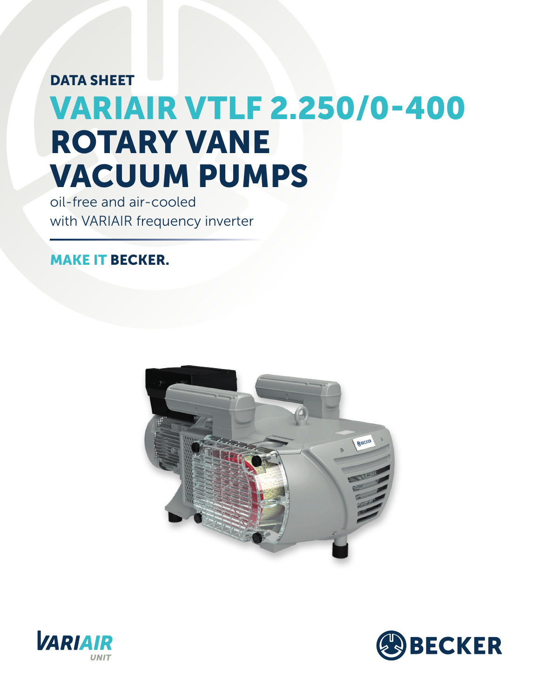## DATA SHEET VARIAIR VTLF 2.250/0-400 ROTARY VANE VACUUM PUMPS

oil-free and air-cooled with VARIAIR frequency inverter

## MAKE IT BECKER.





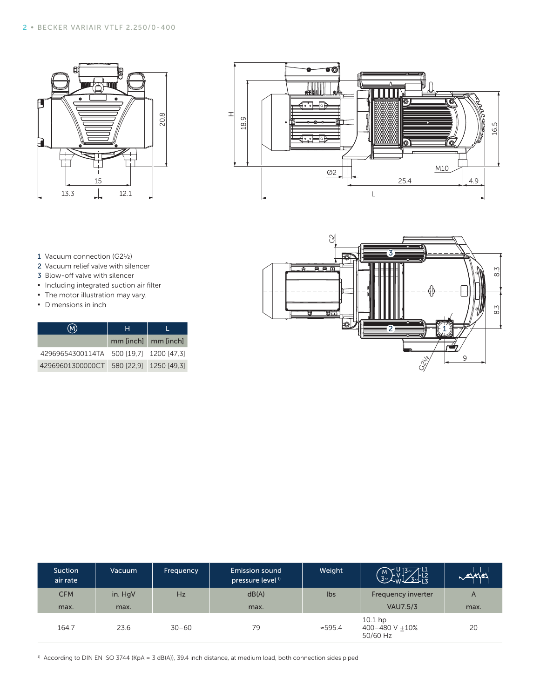



- 1 Vacuum connection (G2½)
- 2 Vacuum relief valve with silencer
- 3 Blow-off valve with silencer
- **▪** Including integrated suction air filter
- **•** The motor illustration may vary.
- **▪** Dimensions in inch

| "M.                                     | н |                     |  |
|-----------------------------------------|---|---------------------|--|
|                                         |   | mm [inch] mm [inch] |  |
| 42969654300114TA 500 [19,7] 1200 [47,3] |   |                     |  |
| 42969601300000CT 580 [22.9] 1250 [49.3] |   |                     |  |



| Suction<br>air rate | Vacuum  | <b>Frequency</b> | Emission sound<br>pressure level <sup>1)</sup> | Weight | $\frac{10.15}{10.25}$ $\frac{11}{12}$<br>M<br>$3 - 1$ |      |
|---------------------|---------|------------------|------------------------------------------------|--------|-------------------------------------------------------|------|
| <b>CFM</b>          | in. HgV | <b>Hz</b>        | dB(A)                                          | lbs    | <b>Frequency inverter</b>                             | A    |
| max.                | max.    |                  | max.                                           |        | <b>VAU7.5/3</b>                                       | max. |
| 164.7               | 23.6    | $30 - 60$        | 79                                             | ≈595.4 | $10.1$ hp<br>400-480 V +10%<br>50/60 Hz               | 20   |

<sup>1)</sup> According to DIN EN ISO 3744 (KpA = 3 dB(A)), 39.4 inch distance, at medium load, both connection sides piped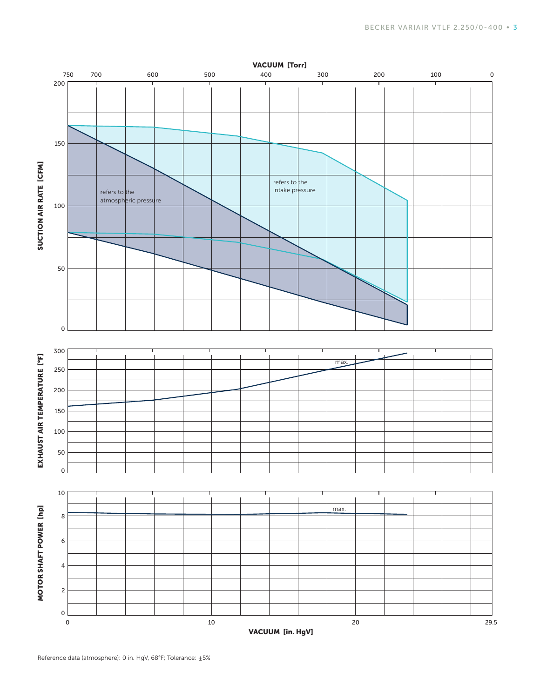